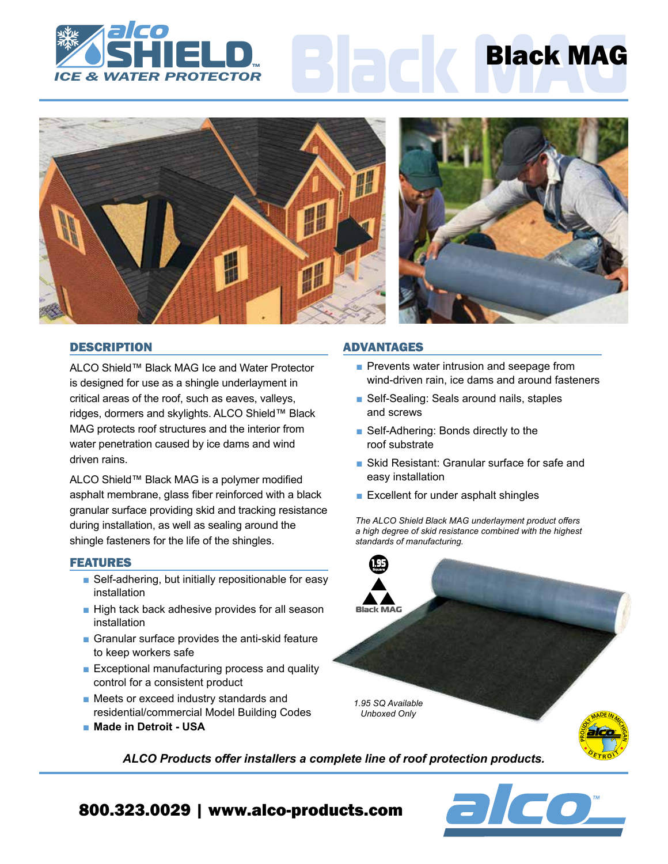





## **DESCRIPTION**

ALCO Shield™ Black MAG Ice and Water Protector is designed for use as a shingle underlayment in critical areas of the roof, such as eaves, valleys, ridges, dormers and skylights. ALCO Shield™ Black MAG protects roof structures and the interior from water penetration caused by ice dams and wind driven rains.

ALCO Shield™ Black MAG is a polymer modified asphalt membrane, glass fiber reinforced with a black granular surface providing skid and tracking resistance during installation, as well as sealing around the shingle fasteners for the life of the shingles.

## FEATURES

- Self-adhering, but initially repositionable for easy installation
- High tack back adhesive provides for all season installation
- Granular surface provides the anti-skid feature to keep workers safe
- Exceptional manufacturing process and quality control for a consistent product
- Meets or exceed industry standards and residential/commercial Model Building Codes
- **Made in Detroit USA**

#### ADVANTAGES

- Prevents water intrusion and seepage from wind-driven rain, ice dams and around fasteners
- Self-Sealing: Seals around nails, staples and screws
- Self-Adhering: Bonds directly to the roof substrate
- Skid Resistant: Granular surface for safe and easy installation
- Excellent for under asphalt shingles

*The ALCO Shield Black MAG underlayment product offers a high degree of skid resistance combined with the highest standards of manufacturing.*



 $\overline{\phantom{a}}$ 

*ALCO Products offer installers a complete line of roof protection products.*

# 800.323.0029 | www.alco-products.com